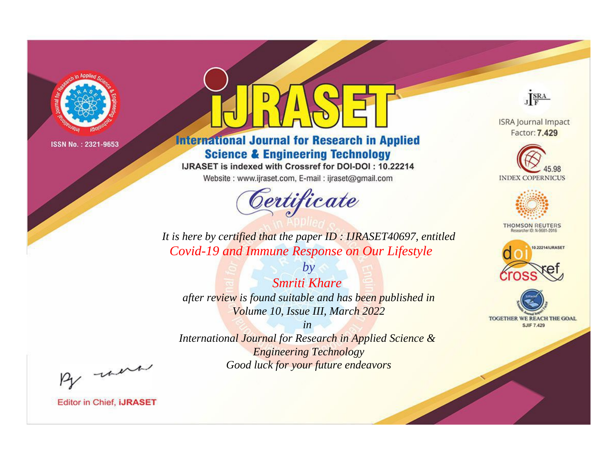

# **International Journal for Research in Applied Science & Engineering Technology**

IJRASET is indexed with Crossref for DOI-DOI: 10.22214

Website: www.ijraset.com, E-mail: ijraset@gmail.com



JERA

**ISRA Journal Impact** Factor: 7.429





**THOMSON REUTERS** 



TOGETHER WE REACH THE GOAL **SJIF 7.429** 

*It is here by certified that the paper ID : IJRASET40697, entitled Covid-19 and Immune Response on Our Lifestyle*

*Smriti Khare after review is found suitable and has been published in Volume 10, Issue III, March 2022*

*by*

*in* 

*International Journal for Research in Applied Science & Engineering Technology Good luck for your future endeavors*

By morn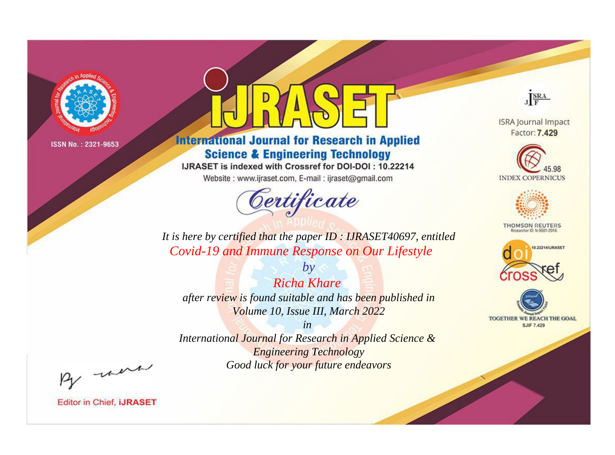

# **International Journal for Research in Applied Science & Engineering Technology**

IJRASET is indexed with Crossref for DOI-DOI: 10.22214

Website: www.ijraset.com, E-mail: ijraset@gmail.com



JERA

**ISRA Journal Impact** Factor: 7.429





**THOMSON REUTERS** 



TOGETHER WE REACH THE GOAL **SJIF 7.429** 

It is here by certified that the paper ID: IJRASET40697, entitled Covid-19 and Immune Response on Our Lifestyle

**Richa Khare** after review is found suitable and has been published in Volume 10, Issue III, March 2022

 $b\nu$ 

 $in$ International Journal for Research in Applied Science & **Engineering Technology** Good luck for your future endeavors

By morn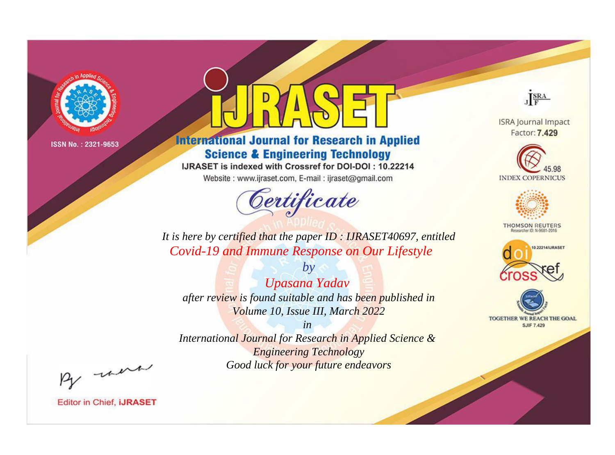

# **International Journal for Research in Applied Science & Engineering Technology**

IJRASET is indexed with Crossref for DOI-DOI: 10.22214

Website: www.ijraset.com, E-mail: ijraset@gmail.com



JERA

**ISRA Journal Impact** Factor: 7.429





**THOMSON REUTERS** 



TOGETHER WE REACH THE GOAL **SJIF 7.429** 

It is here by certified that the paper ID: IJRASET40697, entitled Covid-19 and Immune Response on Our Lifestyle

Upasana Yadav after review is found suitable and has been published in Volume 10, Issue III, March 2022

 $by$ 

 $in$ International Journal for Research in Applied Science & **Engineering Technology** Good luck for your future endeavors

By morn